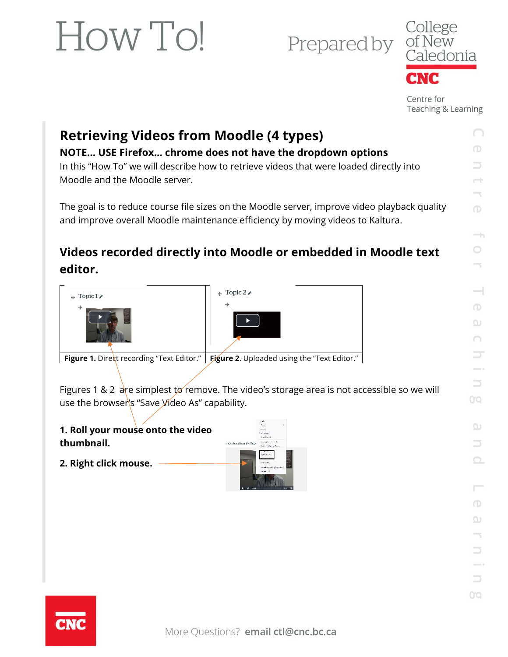### Prepared by



Centre for Teaching & Learning

| <b>Retrieving Videos from Moodle (4 types)</b>                                          |                                                                                                           |          |  |  |
|-----------------------------------------------------------------------------------------|-----------------------------------------------------------------------------------------------------------|----------|--|--|
|                                                                                         | NOTE USE <b>Firefox</b> chrome does not have the dropdown options                                         |          |  |  |
| In this "How To" we will describe how to retrieve videos that were loaded directly into |                                                                                                           |          |  |  |
| Moodle and the Moodle server.                                                           |                                                                                                           |          |  |  |
|                                                                                         |                                                                                                           |          |  |  |
|                                                                                         | The goal is to reduce course file sizes on the Moodle server, improve video playback quality              | $\circ$  |  |  |
|                                                                                         | and improve overall Moodle maintenance efficiency by moving videos to Kaltura.                            |          |  |  |
|                                                                                         |                                                                                                           |          |  |  |
|                                                                                         | Videos recorded directly into Moodle or embedded in Moodle text                                           |          |  |  |
| editor.                                                                                 |                                                                                                           |          |  |  |
| $\pm$ Topic 1                                                                           | $\div$ Topic 2                                                                                            |          |  |  |
|                                                                                         |                                                                                                           |          |  |  |
|                                                                                         |                                                                                                           | ω        |  |  |
|                                                                                         |                                                                                                           |          |  |  |
|                                                                                         | <b>Figure 1.</b> Direct recording "Text Editor."   Figure 2. Uploaded using the "Text Editor."            |          |  |  |
|                                                                                         |                                                                                                           |          |  |  |
|                                                                                         |                                                                                                           |          |  |  |
|                                                                                         | Figures 1 & 2 $\frac{1}{x}$ are simplest to remove. The video's storage area is not accessible so we will | 0Q       |  |  |
| use the browser's "Save Video As" capability.                                           |                                                                                                           |          |  |  |
|                                                                                         |                                                                                                           | $\sigma$ |  |  |
| 1. Roll your mouse onto the video<br>thumbnail.                                         | r Exploration Skill-                                                                                      |          |  |  |
|                                                                                         |                                                                                                           |          |  |  |
| 2. Right click mouse.                                                                   |                                                                                                           |          |  |  |



CNC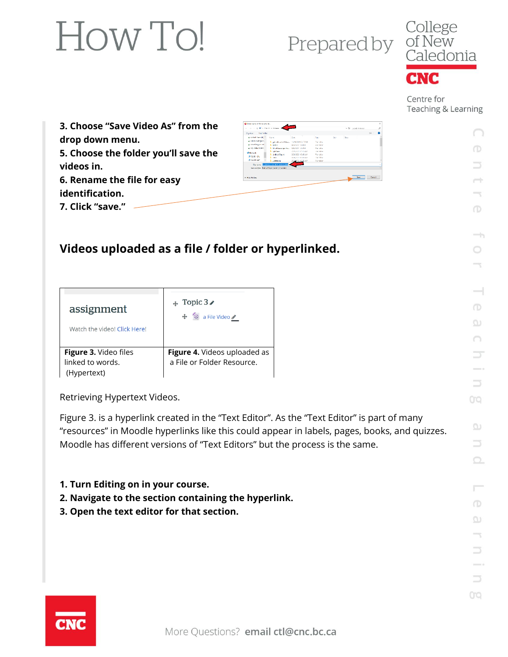### Prepared by

College<br>of New<br>Caledonia **CNC** 

Centre for Teaching & Learning

|                                                                       | <b>M</b> Enter name of file to save to.                                                                                                                                                                                                                                                                                                                                                                                                                                                                                                                                                            |                    |
|-----------------------------------------------------------------------|----------------------------------------------------------------------------------------------------------------------------------------------------------------------------------------------------------------------------------------------------------------------------------------------------------------------------------------------------------------------------------------------------------------------------------------------------------------------------------------------------------------------------------------------------------------------------------------------------|--------------------|
| 3. Choose "Save Video As" from the                                    |                                                                                                                                                                                                                                                                                                                                                                                                                                                                                                                                                                                                    | v D. Seart Private |
|                                                                       | New Sides<br><b>Drawing</b>                                                                                                                                                                                                                                                                                                                                                                                                                                                                                                                                                                        | E. -               |
| drop down menu.<br>5. Choose the folder you'll save the<br>videos in. | and ideal than the C.<br>0.80<br>74 e<br>Type<br>go Panel Le Star D<br>and side cars of Max<br><b>Che Salder</b><br>accepted in the 1970<br><b>JECCOT 199 PM</b><br>File today<br>air Mar Schuck Drs<br>8/2021 1-26 PM<br>File Side<br>Mod Surveyor Hy<br>- la folda<br><b>COMPANY TOTAL</b><br><b>Selecan</b><br><b>ID Natively</b><br><b>Untilical Export</b><br>2/26/2021 10:49:55<br>File folder<br>● 62.351-01。<br><b>Ja Gidde</b><br>(25/2021 10:11 AS<br><b>RIPOLATO CAT</b><br>Lichtecent<br>File folder<br><b>SNADRO CONCORDA CANDIDAD</b><br>Save as type: Format/Bare: beginn) (1wabre) | Tags               |
| 6. Rename the file for easy                                           | A Hide Felders                                                                                                                                                                                                                                                                                                                                                                                                                                                                                                                                                                                     | Cancel             |
| identification.                                                       |                                                                                                                                                                                                                                                                                                                                                                                                                                                                                                                                                                                                    |                    |
| 7. Click "save."                                                      |                                                                                                                                                                                                                                                                                                                                                                                                                                                                                                                                                                                                    |                    |

#### **Videos uploaded as a file / folder or hyperlinked.**

| assignment                                                      | Topic 3 $\epsilon$                                         |
|-----------------------------------------------------------------|------------------------------------------------------------|
| Watch the video! Click Here!                                    | $\bigoplus$ & a File Video                                 |
| <b>Figure 3. Video files</b><br>linked to words.<br>(Hypertext) | Figure 4. Videos uploaded as<br>a File or Folder Resource. |

Retrieving Hypertext Videos.

Figure 3. is a hyperlink created in the "Text Editor". As the "Text Editor" is part of many "resources" in Moodle hyperlinks like this could appear in labels, pages, books, and quizzes. Moodle has different versions of "Text Editors" but the process is the same.

- **1. Turn Editing on in your course.**
- **2. Navigate to the section containing the hyperlink.**
- **3. Open the text editor for that section.**

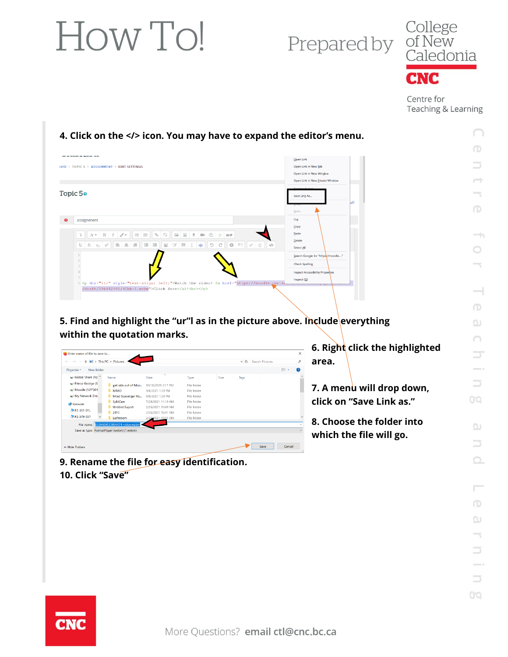Prepared by

College<br>of New<br>Caledonia CNC

Centre for Teaching & Learning

#### Onen Link WID > TOPIC 5 > ASSIGNMENT > EDIT SETTINGS Open Link in New Tab Open Link in New Window Open Link in New Private Window Topic 5<sup>o</sup> Save Link As. Red  $\overline{\mathrm{Cut}}$ **O** assignment  $Copy$  $\overline{1}$   $\overline{A^*}$   $\overline{B}$   $\overline{I}$   $\overline{J^*}$   $\overline{E}$   $\overline{E}$   $\overline{S}$   $\overline{S}$   $\overline{E}$   $\overline{E}$   $\overline{E}$   $\overline{E}$   $\overline{E}$   $\overline{E}$   $\overline{E}$   $\overline{E}$   $\overline{E}$   $\overline{E}$   $\overline{E}$   $\overline{E}$ Paste Delete Select All Search Google for "h Check Spelling **Inspect Accessibility Pro** Inspect  $(Q)$ <p dir="ltr" style="text-align: left;">Watch the video! <a href="https://moodle.cnc.b</br>/draft/196842991/4Chh-1.webm">Click Here</a>:</p></p>>

**5. Find and highlight the "ur"l as in the picture above. Include everything within the quotation marks.**

| 个<br>$\longrightarrow$     | $\blacktriangleright$ This PC $\blacktriangleright$ Pictures |                    |             |      |      | ↓ ひ Search Pictures |            |           |
|----------------------------|--------------------------------------------------------------|--------------------|-------------|------|------|---------------------|------------|-----------|
|                            |                                                              |                    |             |      |      |                     |            |           |
| New folder<br>Organize *   |                                                              |                    |             |      |      |                     | <b>IEE</b> | $\bullet$ |
| Global Share (R:) ^        | Name                                                         | Date               | Type        | Size | Tags |                     |            |           |
| Prince George (S)          | qet vids out of Moo                                          | 10/18/2021 2:17 PM | File folder |      |      |                     |            |           |
| Moodle (\\PFS04            | MRAD                                                         | 9/8/2021 1:29 PM   | File folder |      |      |                     |            |           |
| My Network Driv            | Mrad Scavenger Hu                                            | 9/8/2021 1:26 PM   | File folder |      |      |                     |            |           |
| Network                    | SplitCam                                                     | 7/29/2021 11:10 AM | File folder |      |      |                     |            |           |
|                            | <b>Untitled Export</b>                                       | 2/26/2021 10:49 AM | File folder |      |      |                     |            |           |
| P2-351-01L                 | 2013                                                         | 2/26/2021 10:41 AM | File folder |      |      |                     |            |           |
| P2-379-03T<br>$\checkmark$ | Lightroom                                                    | 2/26/2021 10:35 AM | File folder |      |      |                     |            |           |
| File name:                 | 6559409535904474-video.webm                                  |                    |             |      |      |                     |            |           |
|                            | Save as type: FormatPlayer (webm) (*.webm)                   |                    |             |      |      |                     |            |           |

**9. Rename the file for easy identification.**

**6. Right click the highlighted area.**

**7. A menu will drop down, click on "Save Link as."**

**8. Choose the folder into which the file will go.**



**10. Click "Save"**

#### **4. Click on the </> icon. You may have to expand the editor's menu.**